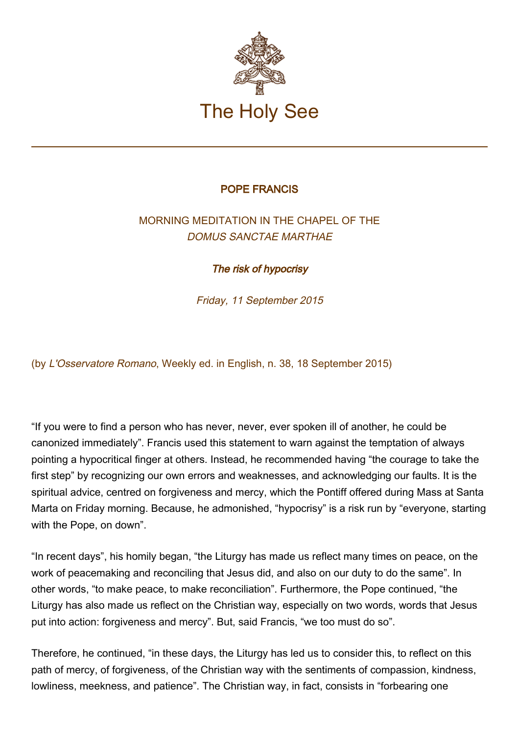

## POPE FRANCIS

## MORNING MEDITATION IN THE CHAPEL OF THE DOMUS SANCTAE MARTHAE

The risk of hypocrisy

Friday, 11 September 2015

(by L'Osservatore Romano, Weekly ed. in English, n. 38, 18 September 2015)

"If you were to find a person who has never, never, ever spoken ill of another, he could be canonized immediately". Francis used this statement to warn against the temptation of always pointing a hypocritical finger at others. Instead, he recommended having "the courage to take the first step" by recognizing our own errors and weaknesses, and acknowledging our faults. It is the spiritual advice, centred on forgiveness and mercy, which the Pontiff offered during Mass at Santa Marta on Friday morning. Because, he admonished, "hypocrisy" is a risk run by "everyone, starting with the Pope, on down".

"In recent days", his homily began, "the Liturgy has made us reflect many times on peace, on the work of peacemaking and reconciling that Jesus did, and also on our duty to do the same". In other words, "to make peace, to make reconciliation". Furthermore, the Pope continued, "the Liturgy has also made us reflect on the Christian way, especially on two words, words that Jesus put into action: forgiveness and mercy". But, said Francis, "we too must do so".

Therefore, he continued, "in these days, the Liturgy has led us to consider this, to reflect on this path of mercy, of forgiveness, of the Christian way with the sentiments of compassion, kindness, lowliness, meekness, and patience". The Christian way, in fact, consists in "forbearing one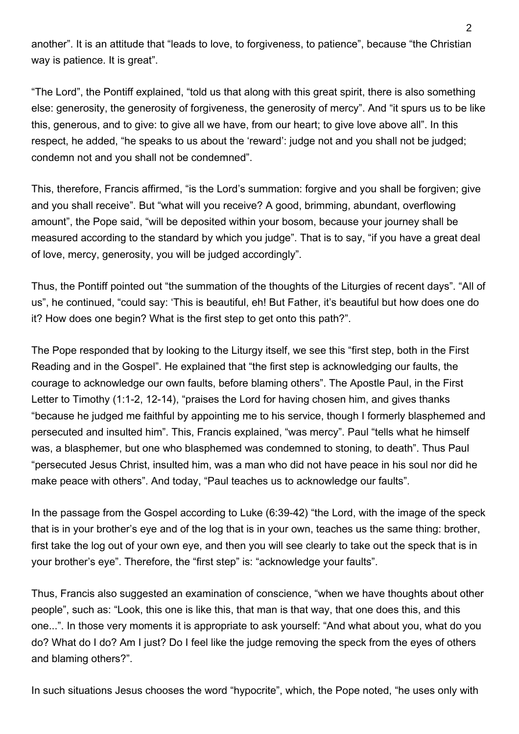another". It is an attitude that "leads to love, to forgiveness, to patience", because "the Christian way is patience. It is great".

"The Lord", the Pontiff explained, "told us that along with this great spirit, there is also something else: generosity, the generosity of forgiveness, the generosity of mercy". And "it spurs us to be like this, generous, and to give: to give all we have, from our heart; to give love above all". In this respect, he added, "he speaks to us about the 'reward': judge not and you shall not be judged; condemn not and you shall not be condemned".

This, therefore, Francis affirmed, "is the Lord's summation: forgive and you shall be forgiven; give and you shall receive". But "what will you receive? A good, brimming, abundant, overflowing amount", the Pope said, "will be deposited within your bosom, because your journey shall be measured according to the standard by which you judge". That is to say, "if you have a great deal of love, mercy, generosity, you will be judged accordingly".

Thus, the Pontiff pointed out "the summation of the thoughts of the Liturgies of recent days". "All of us", he continued, "could say: 'This is beautiful, eh! But Father, it's beautiful but how does one do it? How does one begin? What is the first step to get onto this path?".

The Pope responded that by looking to the Liturgy itself, we see this "first step, both in the First Reading and in the Gospel". He explained that "the first step is acknowledging our faults, the courage to acknowledge our own faults, before blaming others". The Apostle Paul, in the First Letter to Timothy (1:1-2, 12-14), "praises the Lord for having chosen him, and gives thanks "because he judged me faithful by appointing me to his service, though I formerly blasphemed and persecuted and insulted him". This, Francis explained, "was mercy". Paul "tells what he himself was, a blasphemer, but one who blasphemed was condemned to stoning, to death". Thus Paul "persecuted Jesus Christ, insulted him, was a man who did not have peace in his soul nor did he make peace with others". And today, "Paul teaches us to acknowledge our faults".

In the passage from the Gospel according to Luke (6:39-42) "the Lord, with the image of the speck that is in your brother's eye and of the log that is in your own, teaches us the same thing: brother, first take the log out of your own eye, and then you will see clearly to take out the speck that is in your brother's eye". Therefore, the "first step" is: "acknowledge your faults".

Thus, Francis also suggested an examination of conscience, "when we have thoughts about other people", such as: "Look, this one is like this, that man is that way, that one does this, and this one...". In those very moments it is appropriate to ask yourself: "And what about you, what do you do? What do I do? Am I just? Do I feel like the judge removing the speck from the eyes of others and blaming others?".

In such situations Jesus chooses the word "hypocrite", which, the Pope noted, "he uses only with